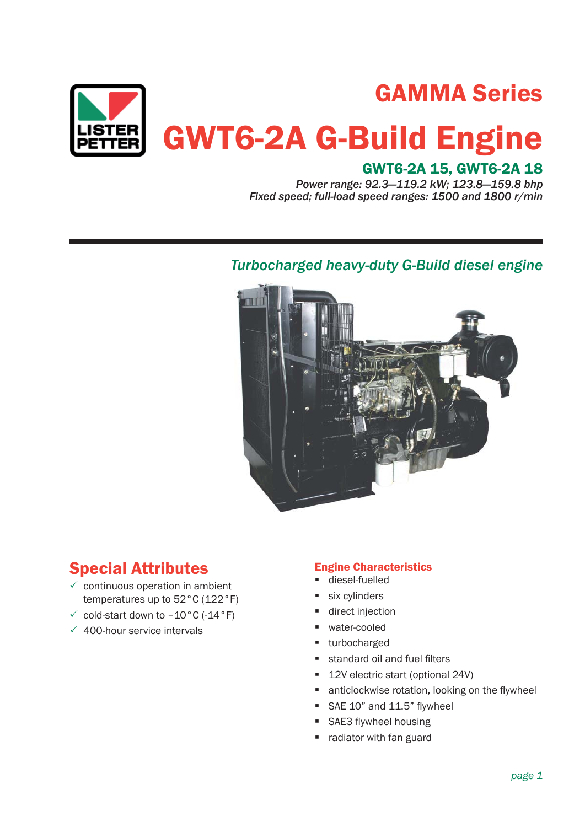

# GAMMA Series

# GWT6-2A G-Build Engine

## GWT6-2A 15, GWT6-2A 18

*Power range: 92.3—119.2 kW; 123.8—159.8 bhp Fixed speed; full-load speed ranges: 1500 and 1800 r/min*

### *Turbocharged heavy-duty G-Build diesel engine*



# Special Attributes

- $\checkmark$  continuous operation in ambient temperatures up to 52°C (122°F)
- $\checkmark$  cold-start down to -10°C (-14°F)
- $\sqrt{400}$ -hour service intervals

#### Engine Characteristics

- diesel-fuelled
- six cylinders
- direct injection
- water-cooled
- turbocharged
- standard oil and fuel filters
- 12V electric start (optional 24V)
- $\blacksquare$  anticlockwise rotation, looking on the flywheel
- $SAE 10"$  and  $11.5"$  flywheel
- SAE3 flywheel housing
- radiator with fan guard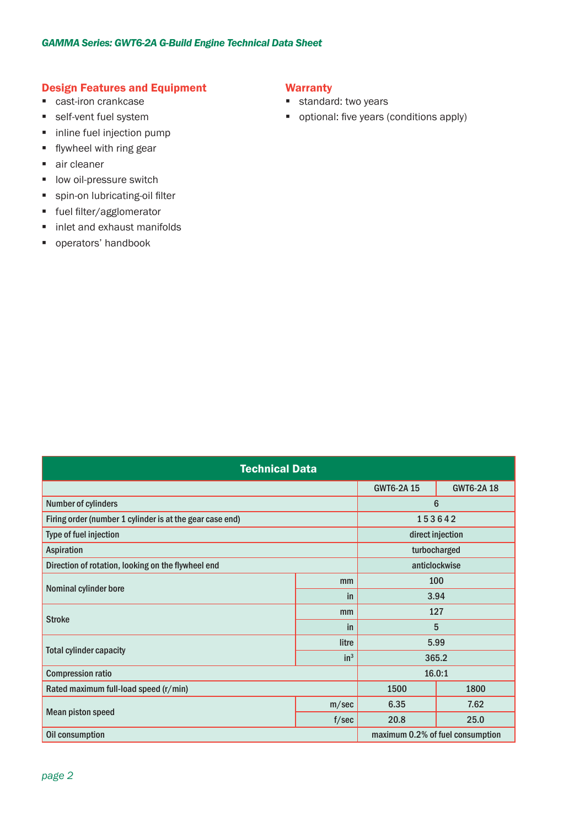#### Design Features and Equipment

- **Cast-iron crankcase**
- **self-vent fuel system**
- **inline fuel injection pump**
- $\blacksquare$  flywheel with ring gear
- air cleaner
- **IDOW oil-pressure switch**
- **spin-on lubricating-oil filter**
- **fuel filter/agglomerator**
- **i** inlet and exhaust manifolds
- **•** operators' handbook

#### **Warranty**

- **standard:** two years
- optional: five years (conditions apply)

| <b>Technical Data</b>                                    |                 |                                  |                  |  |
|----------------------------------------------------------|-----------------|----------------------------------|------------------|--|
|                                                          |                 | <b>GWT6-2A15</b>                 | <b>GWT6-2A18</b> |  |
| Number of cylinders                                      |                 | $6\phantom{1}6$                  |                  |  |
| Firing order (number 1 cylinder is at the gear case end) |                 | 153642                           |                  |  |
| Type of fuel injection                                   |                 | direct injection                 |                  |  |
| Aspiration                                               |                 | turbocharged                     |                  |  |
| Direction of rotation, looking on the flywheel end       |                 | anticlockwise                    |                  |  |
| Nominal cylinder bore                                    | mm              | 100                              |                  |  |
|                                                          | in              | 3.94                             |                  |  |
| <b>Stroke</b>                                            | mm              | 127                              |                  |  |
|                                                          | in              | 5                                |                  |  |
| <b>Total cylinder capacity</b>                           | litre           | 5.99                             |                  |  |
|                                                          | in <sup>3</sup> | 365.2                            |                  |  |
| <b>Compression ratio</b>                                 |                 | 16.0:1                           |                  |  |
| Rated maximum full-load speed (r/min)                    |                 | 1500                             | 1800             |  |
| <b>Mean piston speed</b>                                 | m/sec           | 6.35                             | 7.62             |  |
|                                                          | f/sec           | 20.8                             | 25.0             |  |
| Oil consumption                                          |                 | maximum 0.2% of fuel consumption |                  |  |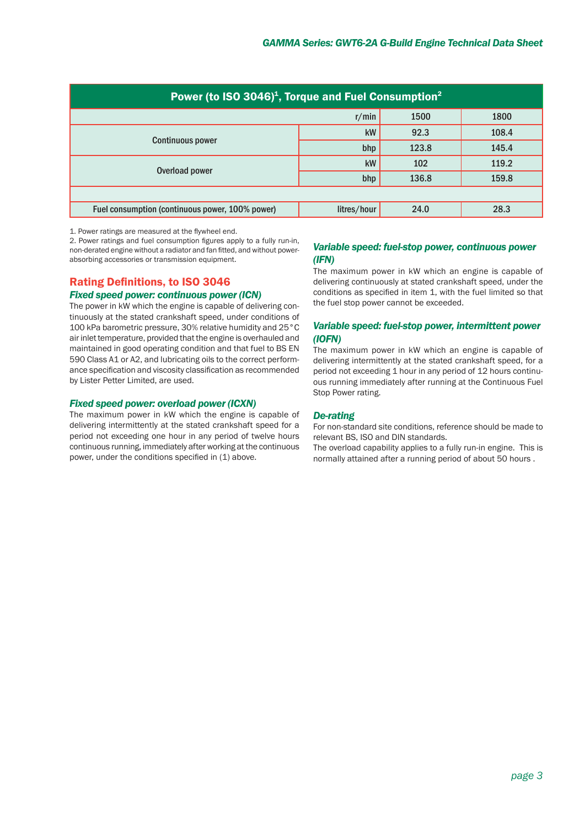| Power (to ISO 3046) <sup>1</sup> , Torque and Fuel Consumption <sup>2</sup> |             |       |       |
|-----------------------------------------------------------------------------|-------------|-------|-------|
|                                                                             | r/min       | 1500  | 1800  |
| <b>Continuous power</b>                                                     | kW          | 92.3  | 108.4 |
|                                                                             | bhp         | 123.8 | 145.4 |
| Overload power                                                              | kW          | 102   | 119.2 |
|                                                                             | bhp         | 136.8 | 159.8 |
|                                                                             |             |       |       |
| Fuel consumption (continuous power, 100% power)                             | litres/hour | 24.0  | 28.3  |

1. Power ratings are measured at the flywheel end.

2. Power ratings and fuel consumption figures apply to a fully run-in. non-derated engine without a radiator and fan fitted, and without powerabsorbing accessories or transmission equipment.

#### Rating Definitions, to ISO 3046

#### *Fixed speed power: continuous power (ICN)*

The power in kW which the engine is capable of delivering continuously at the stated crankshaft speed, under conditions of 100 kPa barometric pressure, 30% relative humidity and 25°C air inlet temperature, provided that the engine is overhauled and maintained in good operating condition and that fuel to BS EN 590 Class A1 or A2, and lubricating oils to the correct performance specification and viscosity classification as recommended by Lister Petter Limited, are used.

#### *Fixed speed power: overload power (ICXN)*

The maximum power in kW which the engine is capable of delivering intermittently at the stated crankshaft speed for a period not exceeding one hour in any period of twelve hours continuous running, immediately after working at the continuous power, under the conditions specified in (1) above.

#### *Variable speed: fuel-stop power, continuous power (IFN)*

The maximum power in kW which an engine is capable of delivering continuously at stated crankshaft speed, under the conditions as specified in item 1, with the fuel limited so that the fuel stop power cannot be exceeded.

#### *Variable speed: fuel-stop power, intermittent power (IOFN)*

The maximum power in kW which an engine is capable of delivering intermittently at the stated crankshaft speed, for a period not exceeding 1 hour in any period of 12 hours continuous running immediately after running at the Continuous Fuel Stop Power rating.

#### *De-rating*

For non-standard site conditions, reference should be made to relevant BS, ISO and DIN standards.

The overload capability applies to a fully run-in engine. This is normally attained after a running period of about 50 hours .